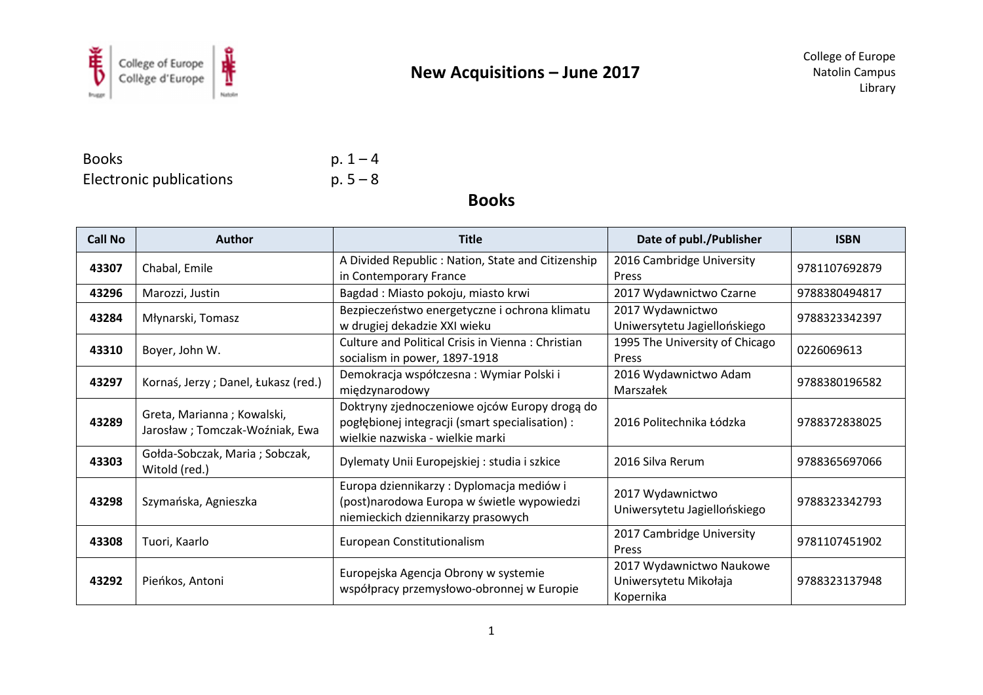

Books  $p. 1 - 4$ Electronic publications

 $p.5 - 8$ 

**Books** 

| <b>Call No</b> | <b>Author</b>                                                 | <b>Title</b>                                                                                                                         | Date of publ./Publisher                                        | <b>ISBN</b>   |
|----------------|---------------------------------------------------------------|--------------------------------------------------------------------------------------------------------------------------------------|----------------------------------------------------------------|---------------|
| 43307          | Chabal, Emile                                                 | A Divided Republic: Nation, State and Citizenship<br>in Contemporary France                                                          | 2016 Cambridge University<br>Press                             | 9781107692879 |
| 43296          | Marozzi, Justin                                               | Bagdad: Miasto pokoju, miasto krwi                                                                                                   | 2017 Wydawnictwo Czarne                                        | 9788380494817 |
| 43284          | Młynarski, Tomasz                                             | Bezpieczeństwo energetyczne i ochrona klimatu<br>w drugiej dekadzie XXI wieku                                                        | 2017 Wydawnictwo<br>Uniwersytetu Jagiellońskiego               | 9788323342397 |
| 43310          | Boyer, John W.                                                | <b>Culture and Political Crisis in Vienna: Christian</b><br>socialism in power, 1897-1918                                            | 1995 The University of Chicago<br>Press                        | 0226069613    |
| 43297          | Kornaś, Jerzy; Danel, Łukasz (red.)                           | Demokracja współczesna: Wymiar Polski i<br>międzynarodowy                                                                            | 2016 Wydawnictwo Adam<br>Marszałek                             | 9788380196582 |
| 43289          | Greta, Marianna; Kowalski,<br>Jarosław ; Tomczak-Woźniak, Ewa | Doktryny zjednoczeniowe ojców Europy drogą do<br>pogłębionej integracji (smart specialisation) :<br>wielkie nazwiska - wielkie marki | 2016 Politechnika Łódzka                                       | 9788372838025 |
| 43303          | Gołda-Sobczak, Maria; Sobczak,<br>Witold (red.)               | Dylematy Unii Europejskiej : studia i szkice                                                                                         | 2016 Silva Rerum                                               | 9788365697066 |
| 43298          | Szymańska, Agnieszka                                          | Europa dziennikarzy: Dyplomacja mediów i<br>(post)narodowa Europa w świetle wypowiedzi<br>niemieckich dziennikarzy prasowych         | 2017 Wydawnictwo<br>Uniwersytetu Jagiellońskiego               | 9788323342793 |
| 43308          | Tuori, Kaarlo                                                 | European Constitutionalism                                                                                                           | 2017 Cambridge University<br>Press                             | 9781107451902 |
| 43292          | Pieńkos, Antoni                                               | Europejska Agencja Obrony w systemie<br>współpracy przemysłowo-obronnej w Europie                                                    | 2017 Wydawnictwo Naukowe<br>Uniwersytetu Mikołaja<br>Kopernika | 9788323137948 |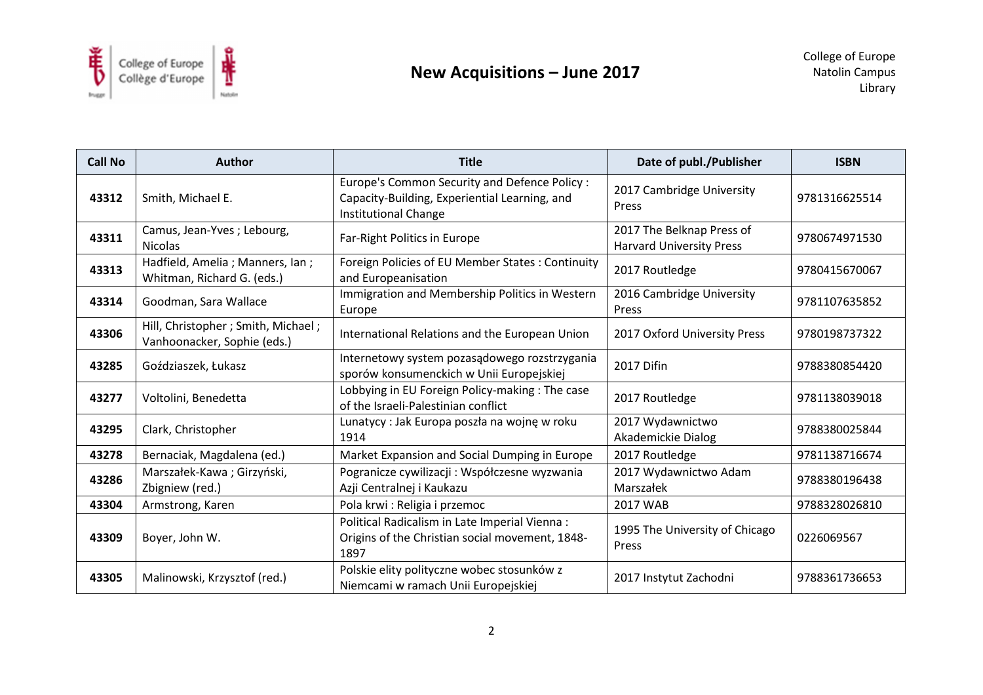

| <b>Call No</b> | <b>Author</b>                                                       | <b>Title</b>                                                                                                           | Date of publ./Publisher                                      | <b>ISBN</b>   |
|----------------|---------------------------------------------------------------------|------------------------------------------------------------------------------------------------------------------------|--------------------------------------------------------------|---------------|
| 43312          | Smith, Michael E.                                                   | Europe's Common Security and Defence Policy :<br>Capacity-Building, Experiential Learning, and<br>Institutional Change | 2017 Cambridge University<br>Press                           | 9781316625514 |
| 43311          | Camus, Jean-Yves ; Lebourg,<br><b>Nicolas</b>                       | Far-Right Politics in Europe                                                                                           | 2017 The Belknap Press of<br><b>Harvard University Press</b> | 9780674971530 |
| 43313          | Hadfield, Amelia ; Manners, Ian ;<br>Whitman, Richard G. (eds.)     | Foreign Policies of EU Member States : Continuity<br>and Europeanisation                                               | 2017 Routledge                                               | 9780415670067 |
| 43314          | Goodman, Sara Wallace                                               | Immigration and Membership Politics in Western<br>Europe                                                               | 2016 Cambridge University<br>Press                           | 9781107635852 |
| 43306          | Hill, Christopher ; Smith, Michael ;<br>Vanhoonacker, Sophie (eds.) | International Relations and the European Union                                                                         | 2017 Oxford University Press                                 | 9780198737322 |
| 43285          | Goździaszek, Łukasz                                                 | Internetowy system pozasądowego rozstrzygania<br>sporów konsumenckich w Unii Europejskiej                              | <b>2017 Difin</b>                                            | 9788380854420 |
| 43277          | Voltolini, Benedetta                                                | Lobbying in EU Foreign Policy-making: The case<br>of the Israeli-Palestinian conflict                                  | 2017 Routledge                                               | 9781138039018 |
| 43295          | Clark, Christopher                                                  | Lunatycy : Jak Europa poszła na wojnę w roku<br>1914                                                                   | 2017 Wydawnictwo<br>Akademickie Dialog                       | 9788380025844 |
| 43278          | Bernaciak, Magdalena (ed.)                                          | Market Expansion and Social Dumping in Europe                                                                          | 2017 Routledge                                               | 9781138716674 |
| 43286          | Marszałek-Kawa; Girzyński,<br>Zbigniew (red.)                       | Pogranicze cywilizacji: Współczesne wyzwania<br>Azji Centralnej i Kaukazu                                              | 2017 Wydawnictwo Adam<br>Marszałek                           | 9788380196438 |
| 43304          | Armstrong, Karen                                                    | Pola krwi: Religia i przemoc                                                                                           | 2017 WAB                                                     | 9788328026810 |
| 43309          | Boyer, John W.                                                      | Political Radicalism in Late Imperial Vienna :<br>Origins of the Christian social movement, 1848-<br>1897              | 1995 The University of Chicago<br>Press                      | 0226069567    |
| 43305          | Malinowski, Krzysztof (red.)                                        | Polskie elity polityczne wobec stosunków z<br>Niemcami w ramach Unii Europejskiej                                      | 2017 Instytut Zachodni                                       | 9788361736653 |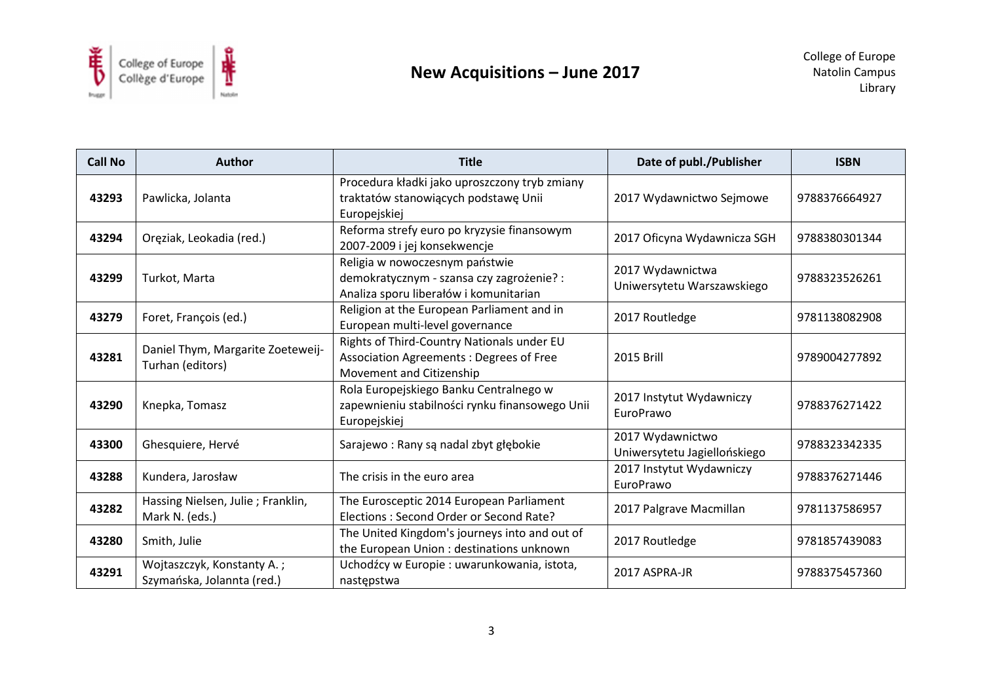

| <b>Call No</b> | <b>Author</b>                                            | <b>Title</b>                                                                                                          | Date of publ./Publisher                          | <b>ISBN</b>   |
|----------------|----------------------------------------------------------|-----------------------------------------------------------------------------------------------------------------------|--------------------------------------------------|---------------|
| 43293          | Pawlicka, Jolanta                                        | Procedura kładki jako uproszczony tryb zmiany<br>traktatów stanowiących podstawę Unii<br>Europejskiej                 | 2017 Wydawnictwo Sejmowe                         | 9788376664927 |
| 43294          | Oręziak, Leokadia (red.)                                 | Reforma strefy euro po kryzysie finansowym<br>2007-2009 i jej konsekwencje                                            | 2017 Oficyna Wydawnicza SGH                      | 9788380301344 |
| 43299          | Turkot, Marta                                            | Religia w nowoczesnym państwie<br>demokratycznym - szansa czy zagrożenie? :<br>Analiza sporu liberałów i komunitarian | 2017 Wydawnictwa<br>Uniwersytetu Warszawskiego   | 9788323526261 |
| 43279          | Foret, François (ed.)                                    | Religion at the European Parliament and in<br>European multi-level governance                                         | 2017 Routledge                                   | 9781138082908 |
| 43281          | Daniel Thym, Margarite Zoeteweij-<br>Turhan (editors)    | Rights of Third-Country Nationals under EU<br>Association Agreements: Degrees of Free<br>Movement and Citizenship     | 2015 Brill                                       | 9789004277892 |
| 43290          | Knepka, Tomasz                                           | Rola Europejskiego Banku Centralnego w<br>zapewnieniu stabilności rynku finansowego Unii<br>Europejskiej              | 2017 Instytut Wydawniczy<br>EuroPrawo            | 9788376271422 |
| 43300          | Ghesquiere, Hervé                                        | Sarajewo: Rany są nadal zbyt głębokie                                                                                 | 2017 Wydawnictwo<br>Uniwersytetu Jagiellońskiego | 9788323342335 |
| 43288          | Kundera, Jarosław                                        | The crisis in the euro area                                                                                           | 2017 Instytut Wydawniczy<br>EuroPrawo            | 9788376271446 |
| 43282          | Hassing Nielsen, Julie; Franklin,<br>Mark N. (eds.)      | The Eurosceptic 2014 European Parliament<br>Elections: Second Order or Second Rate?                                   | 2017 Palgrave Macmillan                          | 9781137586957 |
| 43280          | Smith, Julie                                             | The United Kingdom's journeys into and out of<br>the European Union : destinations unknown                            | 2017 Routledge                                   | 9781857439083 |
| 43291          | Wojtaszczyk, Konstanty A.;<br>Szymańska, Jolannta (red.) | Uchodźcy w Europie: uwarunkowania, istota,<br>następstwa                                                              | 2017 ASPRA-JR                                    | 9788375457360 |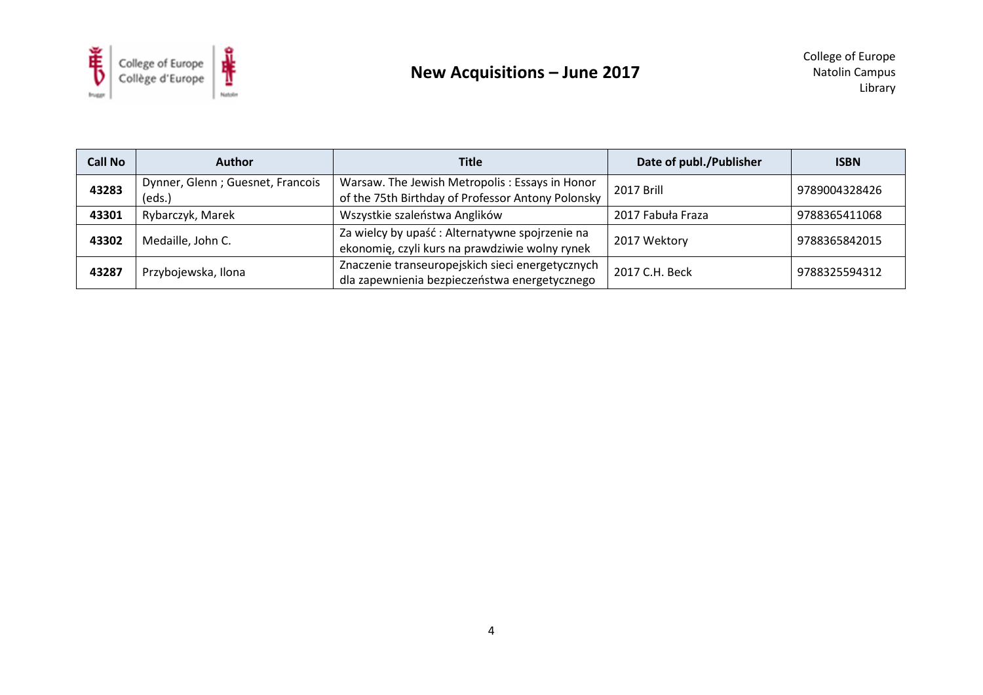

| <b>Call No</b> | <b>Author</b>                              | <b>Title</b>                                                                                        | Date of publ./Publisher | <b>ISBN</b>   |
|----------------|--------------------------------------------|-----------------------------------------------------------------------------------------------------|-------------------------|---------------|
| 43283          | Dynner, Glenn; Guesnet, Francois<br>(eds.) | Warsaw. The Jewish Metropolis: Essays in Honor<br>of the 75th Birthday of Professor Antony Polonsky | 2017 Brill              | 9789004328426 |
| 43301          | Rybarczyk, Marek                           | Wszystkie szaleństwa Anglików                                                                       | 2017 Fabuła Fraza       | 9788365411068 |
| 43302          | Medaille, John C.                          | Za wielcy by upaść: Alternatywne spojrzenie na<br>ekonomię, czyli kurs na prawdziwie wolny rynek    | 2017 Wektory            | 9788365842015 |
| 43287          | Przybojewska, Ilona                        | Znaczenie transeuropejskich sieci energetycznych<br>dla zapewnienia bezpieczeństwa energetycznego   | 2017 C.H. Beck          | 9788325594312 |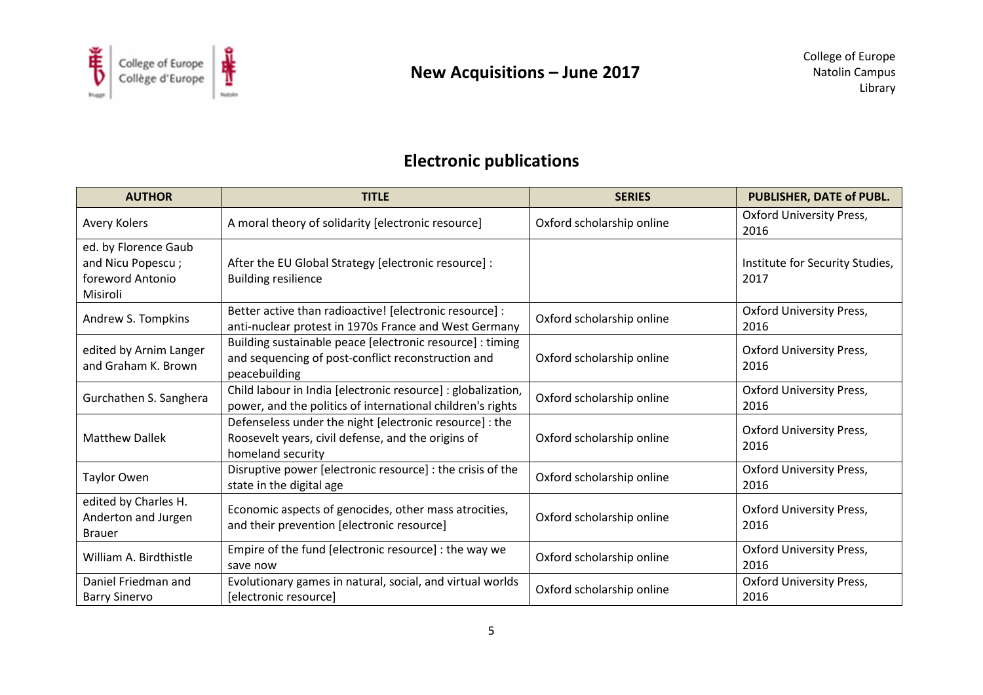

# **Electronic publications**

| <b>AUTHOR</b>                                                             | <b>TITLE</b>                                                                                                                       | <b>SERIES</b>             | PUBLISHER, DATE of PUBL.                |
|---------------------------------------------------------------------------|------------------------------------------------------------------------------------------------------------------------------------|---------------------------|-----------------------------------------|
| Avery Kolers                                                              | A moral theory of solidarity [electronic resource]                                                                                 | Oxford scholarship online | <b>Oxford University Press,</b><br>2016 |
| ed. by Florence Gaub<br>and Nicu Popescu;<br>foreword Antonio<br>Misiroli | After the EU Global Strategy [electronic resource] :<br><b>Building resilience</b>                                                 |                           | Institute for Security Studies,<br>2017 |
| Andrew S. Tompkins                                                        | Better active than radioactive! [electronic resource] :<br>anti-nuclear protest in 1970s France and West Germany                   | Oxford scholarship online | <b>Oxford University Press,</b><br>2016 |
| edited by Arnim Langer<br>and Graham K. Brown                             | Building sustainable peace [electronic resource] : timing<br>and sequencing of post-conflict reconstruction and<br>peacebuilding   | Oxford scholarship online | <b>Oxford University Press,</b><br>2016 |
| Gurchathen S. Sanghera                                                    | Child labour in India [electronic resource] : globalization,<br>power, and the politics of international children's rights         | Oxford scholarship online | <b>Oxford University Press,</b><br>2016 |
| <b>Matthew Dallek</b>                                                     | Defenseless under the night [electronic resource] : the<br>Roosevelt years, civil defense, and the origins of<br>homeland security | Oxford scholarship online | <b>Oxford University Press,</b><br>2016 |
| Taylor Owen                                                               | Disruptive power [electronic resource] : the crisis of the<br>state in the digital age                                             | Oxford scholarship online | <b>Oxford University Press,</b><br>2016 |
| edited by Charles H.<br>Anderton and Jurgen<br><b>Brauer</b>              | Economic aspects of genocides, other mass atrocities,<br>and their prevention [electronic resource]                                | Oxford scholarship online | <b>Oxford University Press,</b><br>2016 |
| William A. Birdthistle                                                    | Empire of the fund [electronic resource] : the way we<br>save now                                                                  | Oxford scholarship online | <b>Oxford University Press,</b><br>2016 |
| Daniel Friedman and<br><b>Barry Sinervo</b>                               | Evolutionary games in natural, social, and virtual worlds<br>[electronic resource]                                                 | Oxford scholarship online | <b>Oxford University Press,</b><br>2016 |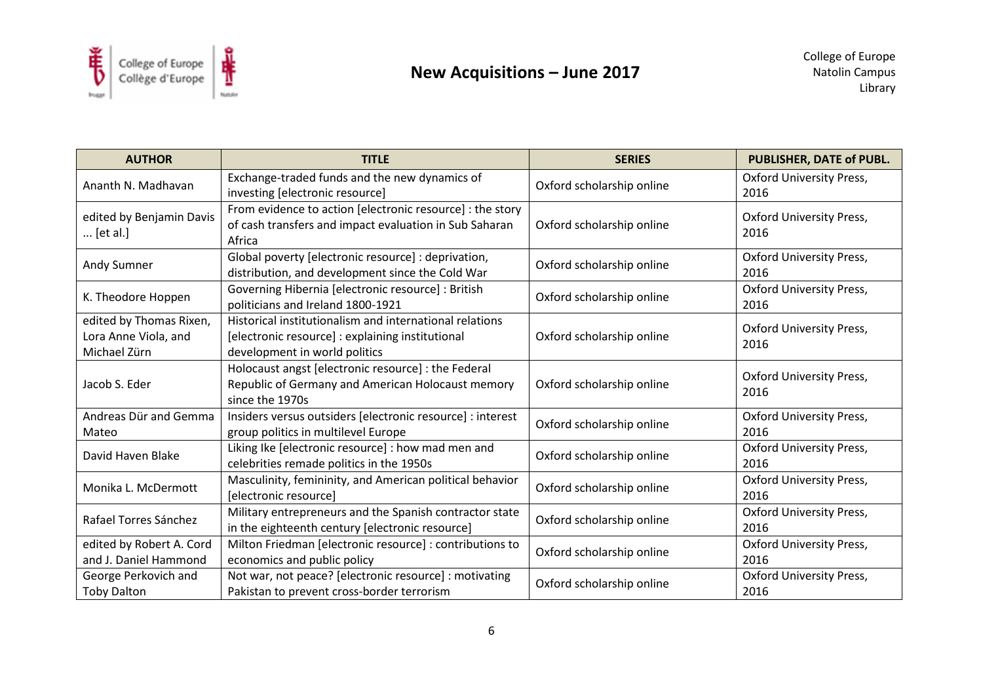

| <b>AUTHOR</b>                                                   | <b>TITLE</b>                                                                                                                                 | <b>SERIES</b>             | PUBLISHER, DATE of PUBL.                |
|-----------------------------------------------------------------|----------------------------------------------------------------------------------------------------------------------------------------------|---------------------------|-----------------------------------------|
| Ananth N. Madhavan                                              | Exchange-traded funds and the new dynamics of<br>investing [electronic resource]                                                             | Oxford scholarship online | <b>Oxford University Press,</b><br>2016 |
| edited by Benjamin Davis<br>[et al.]                            | From evidence to action [electronic resource] : the story<br>of cash transfers and impact evaluation in Sub Saharan<br>Africa                | Oxford scholarship online | <b>Oxford University Press,</b><br>2016 |
| Andy Sumner                                                     | Global poverty [electronic resource] : deprivation,<br>distribution, and development since the Cold War                                      | Oxford scholarship online | <b>Oxford University Press,</b><br>2016 |
| K. Theodore Hoppen                                              | Governing Hibernia [electronic resource] : British<br>politicians and Ireland 1800-1921                                                      | Oxford scholarship online | <b>Oxford University Press,</b><br>2016 |
| edited by Thomas Rixen,<br>Lora Anne Viola, and<br>Michael Zürn | Historical institutionalism and international relations<br>[electronic resource] : explaining institutional<br>development in world politics | Oxford scholarship online | <b>Oxford University Press,</b><br>2016 |
| Jacob S. Eder                                                   | Holocaust angst [electronic resource] : the Federal<br>Republic of Germany and American Holocaust memory<br>since the 1970s                  | Oxford scholarship online | <b>Oxford University Press,</b><br>2016 |
| Andreas Dür and Gemma<br>Mateo                                  | Insiders versus outsiders [electronic resource] : interest<br>group politics in multilevel Europe                                            | Oxford scholarship online | <b>Oxford University Press,</b><br>2016 |
| David Haven Blake                                               | Liking Ike [electronic resource] : how mad men and<br>celebrities remade politics in the 1950s                                               | Oxford scholarship online | <b>Oxford University Press,</b><br>2016 |
| Monika L. McDermott                                             | Masculinity, femininity, and American political behavior<br>[electronic resource]                                                            | Oxford scholarship online | <b>Oxford University Press,</b><br>2016 |
| Rafael Torres Sánchez                                           | Military entrepreneurs and the Spanish contractor state<br>in the eighteenth century [electronic resource]                                   | Oxford scholarship online | <b>Oxford University Press,</b><br>2016 |
| edited by Robert A. Cord<br>and J. Daniel Hammond               | Milton Friedman [electronic resource] : contributions to<br>economics and public policy                                                      | Oxford scholarship online | <b>Oxford University Press,</b><br>2016 |
| George Perkovich and<br><b>Toby Dalton</b>                      | Not war, not peace? [electronic resource] : motivating<br>Pakistan to prevent cross-border terrorism                                         | Oxford scholarship online | <b>Oxford University Press,</b><br>2016 |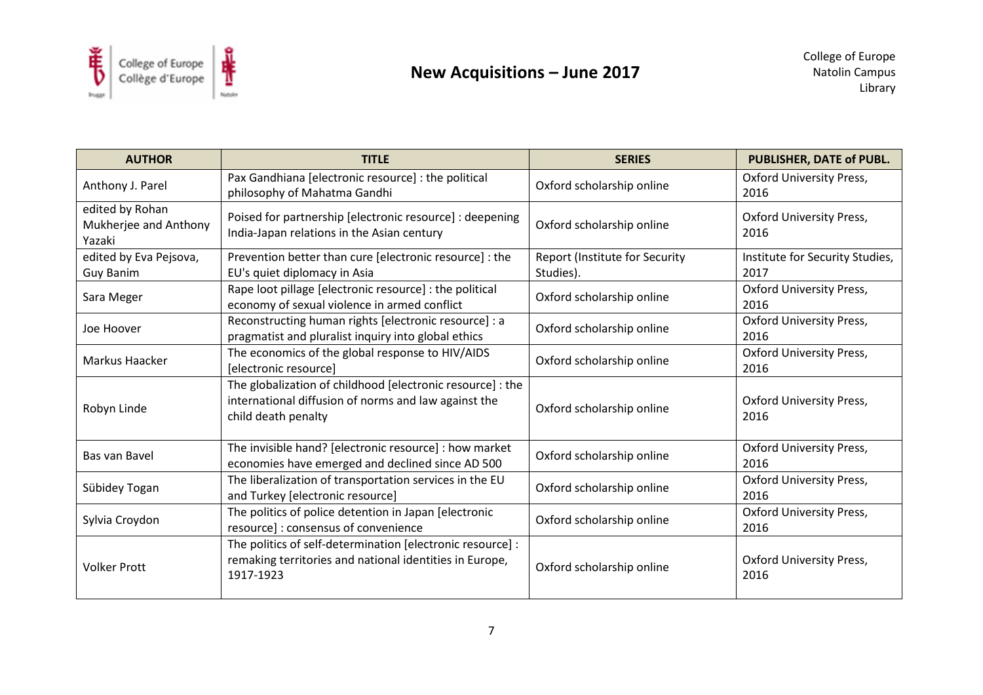

| <b>AUTHOR</b>                                      | <b>TITLE</b>                                                                                                                              | <b>SERIES</b>                                      | PUBLISHER, DATE of PUBL.                |
|----------------------------------------------------|-------------------------------------------------------------------------------------------------------------------------------------------|----------------------------------------------------|-----------------------------------------|
| Anthony J. Parel                                   | Pax Gandhiana [electronic resource] : the political<br>philosophy of Mahatma Gandhi                                                       | Oxford scholarship online                          | <b>Oxford University Press,</b><br>2016 |
| edited by Rohan<br>Mukherjee and Anthony<br>Yazaki | Poised for partnership [electronic resource] : deepening<br>India-Japan relations in the Asian century                                    | Oxford scholarship online                          | <b>Oxford University Press,</b><br>2016 |
| edited by Eva Pejsova,<br>Guy Banim                | Prevention better than cure [electronic resource] : the<br>EU's quiet diplomacy in Asia                                                   | <b>Report (Institute for Security</b><br>Studies). | Institute for Security Studies,<br>2017 |
| Sara Meger                                         | Rape loot pillage [electronic resource] : the political<br>economy of sexual violence in armed conflict                                   | Oxford scholarship online                          | <b>Oxford University Press,</b><br>2016 |
| Joe Hoover                                         | Reconstructing human rights [electronic resource] : a<br>pragmatist and pluralist inquiry into global ethics                              | Oxford scholarship online                          | <b>Oxford University Press,</b><br>2016 |
| Markus Haacker                                     | The economics of the global response to HIV/AIDS<br>[electronic resource]                                                                 | Oxford scholarship online                          | <b>Oxford University Press,</b><br>2016 |
| Robyn Linde                                        | The globalization of childhood [electronic resource] : the<br>international diffusion of norms and law against the<br>child death penalty | Oxford scholarship online                          | <b>Oxford University Press,</b><br>2016 |
| Bas van Bavel                                      | The invisible hand? [electronic resource] : how market<br>economies have emerged and declined since AD 500                                | Oxford scholarship online                          | <b>Oxford University Press,</b><br>2016 |
| Sübidey Togan                                      | The liberalization of transportation services in the EU<br>and Turkey [electronic resource]                                               | Oxford scholarship online                          | <b>Oxford University Press,</b><br>2016 |
| Sylvia Croydon                                     | The politics of police detention in Japan [electronic]<br>resource]: consensus of convenience                                             | Oxford scholarship online                          | <b>Oxford University Press,</b><br>2016 |
| <b>Volker Prott</b>                                | The politics of self-determination [electronic resource] :<br>remaking territories and national identities in Europe,<br>1917-1923        | Oxford scholarship online                          | <b>Oxford University Press,</b><br>2016 |